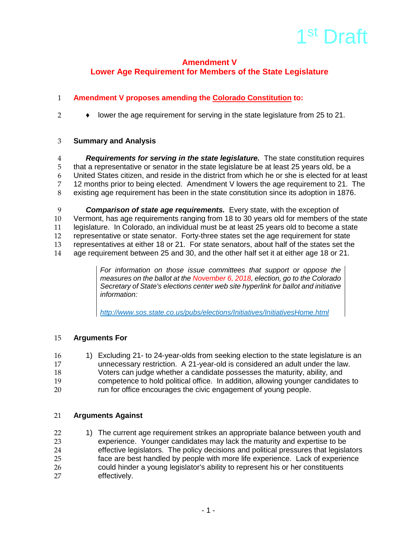

## **Amendment V Lower Age Requirement for Members of the State Legislature**

# **Amendment V proposes amending the Colorado Constitution to:**

♦ lower the age requirement for serving in the state legislature from 25 to 21.

#### **Summary and Analysis**

 *Requirements for serving in the state legislature.* The state constitution requires that a representative or senator in the state legislature be at least 25 years old, be a United States citizen, and reside in the district from which he or she is elected for at least 12 months prior to being elected. Amendment V lowers the age requirement to 21. The existing age requirement has been in the state constitution since its adoption in 1876.

**Comparison of state age requirements.** Every state, with the exception of Vermont, has age requirements ranging from 18 to 30 years old for members of t Vermont, has age requirements ranging from 18 to 30 years old for members of the state legislature. In Colorado, an individual must be at least 25 years old to become a state representative or state senator. Forty-three states set the age requirement for state representatives at either 18 or 21. For state senators, about half of the states set the age requirement between 25 and 30, and the other half set it at either age 18 or 21.

> *For information on those issue committees that support or oppose the measures on the ballot at the November 6, 2018, election, go to the Colorado Secretary of State's elections center web site hyperlink for ballot and initiative information:*

*<http://www.sos.state.co.us/pubs/elections/Initiatives/InitiativesHome.html>*

#### **Arguments For**

- 1) Excluding 21- to 24-year-olds from seeking election to the state legislature is an
- unnecessary restriction. A 21-year-old is considered an adult under the law.
- Voters can judge whether a candidate possesses the maturity, ability, and
- competence to hold political office. In addition, allowing younger candidates to
- run for office encourages the civic engagement of young people.

#### **Arguments Against**

22 1) The current age requirement strikes an appropriate balance between youth and<br>23 experience. Younger candidates may lack the maturity and expertise to be experience. Younger candidates may lack the maturity and expertise to be effective legislators. The policy decisions and political pressures that legislators face are best handled by people with more life experience. Lack of experience 26 could hinder a young legislator's ability to represent his or her constituents<br>27 effectively. effectively.